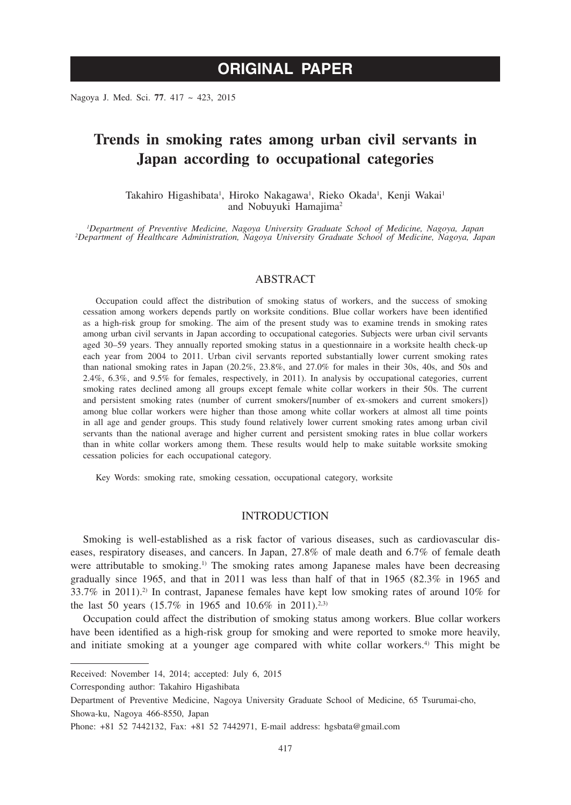# **ORIGINAL PAPER**

Nagoya J. Med. Sci. **77**. 417 ~ 423, 2015

## **Trends in smoking rates among urban civil servants in Japan according to occupational categories**

Takahiro Higashibata<sup>1</sup>, Hiroko Nakagawa<sup>1</sup>, Rieko Okada<sup>1</sup>, Kenji Wakai<sup>1</sup> and Nobuyuki Hamajima<sup>2</sup>

*1 Department of Preventive Medicine, Nagoya University Graduate School of Medicine, Nagoya, Japan <sup>2</sup> Department of Healthcare Administration, Nagoya University Graduate School of Medicine, Nagoya, Japan*

#### ABSTRACT

Occupation could affect the distribution of smoking status of workers, and the success of smoking cessation among workers depends partly on worksite conditions. Blue collar workers have been identified as a high-risk group for smoking. The aim of the present study was to examine trends in smoking rates among urban civil servants in Japan according to occupational categories. Subjects were urban civil servants aged 30–59 years. They annually reported smoking status in a questionnaire in a worksite health check-up each year from 2004 to 2011. Urban civil servants reported substantially lower current smoking rates than national smoking rates in Japan (20.2%, 23.8%, and 27.0% for males in their 30s, 40s, and 50s and 2.4%, 6.3%, and 9.5% for females, respectively, in 2011). In analysis by occupational categories, current smoking rates declined among all groups except female white collar workers in their 50s. The current and persistent smoking rates (number of current smokers/[number of ex-smokers and current smokers]) among blue collar workers were higher than those among white collar workers at almost all time points in all age and gender groups. This study found relatively lower current smoking rates among urban civil servants than the national average and higher current and persistent smoking rates in blue collar workers than in white collar workers among them. These results would help to make suitable worksite smoking cessation policies for each occupational category.

Key Words: smoking rate, smoking cessation, occupational category, worksite

#### **INTRODUCTION**

Smoking is well-established as a risk factor of various diseases, such as cardiovascular diseases, respiratory diseases, and cancers. In Japan, 27.8% of male death and 6.7% of female death were attributable to smoking.<sup>1)</sup> The smoking rates among Japanese males have been decreasing gradually since 1965, and that in 2011 was less than half of that in 1965 (82.3% in 1965 and 33.7% in 2011).<sup>2)</sup> In contrast, Japanese females have kept low smoking rates of around  $10\%$  for the last 50 years (15.7% in 1965 and 10.6% in 2011).<sup>2,3)</sup>

Occupation could affect the distribution of smoking status among workers. Blue collar workers have been identified as a high-risk group for smoking and were reported to smoke more heavily, and initiate smoking at a younger age compared with white collar workers.<sup>4)</sup> This might be

Received: November 14, 2014; accepted: July 6, 2015

Corresponding author: Takahiro Higashibata

Department of Preventive Medicine, Nagoya University Graduate School of Medicine, 65 Tsurumai-cho, Showa-ku, Nagoya 466-8550, Japan

Phone: +81 52 7442132, Fax: +81 52 7442971, E-mail address: hgsbata@gmail.com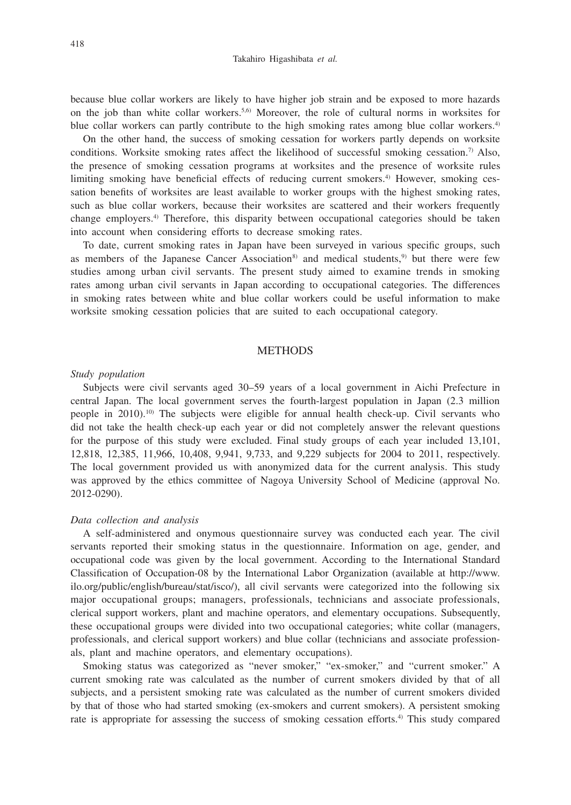because blue collar workers are likely to have higher job strain and be exposed to more hazards on the job than white collar workers.<sup>5,6)</sup> Moreover, the role of cultural norms in worksites for blue collar workers can partly contribute to the high smoking rates among blue collar workers.<sup>4)</sup>

On the other hand, the success of smoking cessation for workers partly depends on worksite conditions. Worksite smoking rates affect the likelihood of successful smoking cessation.<sup>7)</sup> Also, the presence of smoking cessation programs at worksites and the presence of worksite rules limiting smoking have beneficial effects of reducing current smokers.<sup>4)</sup> However, smoking cessation benefits of worksites are least available to worker groups with the highest smoking rates, such as blue collar workers, because their worksites are scattered and their workers frequently change employers.4) Therefore, this disparity between occupational categories should be taken into account when considering efforts to decrease smoking rates.

To date, current smoking rates in Japan have been surveyed in various specific groups, such as members of the Japanese Cancer Association<sup>8)</sup> and medical students,<sup>9)</sup> but there were few studies among urban civil servants. The present study aimed to examine trends in smoking rates among urban civil servants in Japan according to occupational categories. The differences in smoking rates between white and blue collar workers could be useful information to make worksite smoking cessation policies that are suited to each occupational category.

#### **METHODS**

#### *Study population*

Subjects were civil servants aged 30–59 years of a local government in Aichi Prefecture in central Japan. The local government serves the fourth-largest population in Japan (2.3 million people in 2010).<sup>10</sup> The subjects were eligible for annual health check-up. Civil servants who did not take the health check-up each year or did not completely answer the relevant questions for the purpose of this study were excluded. Final study groups of each year included 13,101, 12,818, 12,385, 11,966, 10,408, 9,941, 9,733, and 9,229 subjects for 2004 to 2011, respectively. The local government provided us with anonymized data for the current analysis. This study was approved by the ethics committee of Nagoya University School of Medicine (approval No. 2012-0290).

#### *Data collection and analysis*

A self-administered and onymous questionnaire survey was conducted each year. The civil servants reported their smoking status in the questionnaire. Information on age, gender, and occupational code was given by the local government. According to the International Standard Classification of Occupation-08 by the International Labor Organization (available at http://www. ilo.org/public/english/bureau/stat/isco/), all civil servants were categorized into the following six major occupational groups; managers, professionals, technicians and associate professionals, clerical support workers, plant and machine operators, and elementary occupations. Subsequently, these occupational groups were divided into two occupational categories; white collar (managers, professionals, and clerical support workers) and blue collar (technicians and associate professionals, plant and machine operators, and elementary occupations).

Smoking status was categorized as "never smoker," "ex-smoker," and "current smoker." A current smoking rate was calculated as the number of current smokers divided by that of all subjects, and a persistent smoking rate was calculated as the number of current smokers divided by that of those who had started smoking (ex-smokers and current smokers). A persistent smoking rate is appropriate for assessing the success of smoking cessation efforts.<sup>4)</sup> This study compared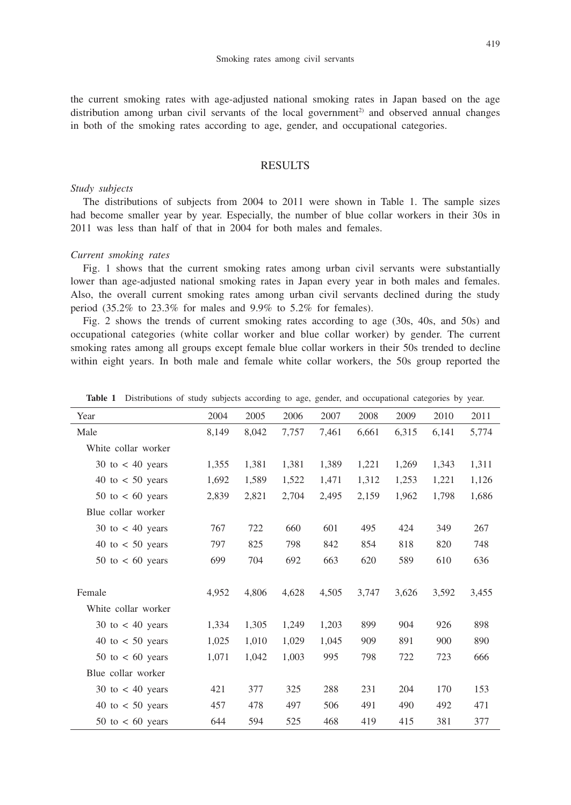the current smoking rates with age-adjusted national smoking rates in Japan based on the age distribution among urban civil servants of the local government<sup>2)</sup> and observed annual changes in both of the smoking rates according to age, gender, and occupational categories.

### RESULTS

#### *Study subjects*

The distributions of subjects from 2004 to 2011 were shown in Table 1. The sample sizes had become smaller year by year. Especially, the number of blue collar workers in their 30s in 2011 was less than half of that in 2004 for both males and females.

#### *Current smoking rates*

Fig. 1 shows that the current smoking rates among urban civil servants were substantially lower than age-adjusted national smoking rates in Japan every year in both males and females. Also, the overall current smoking rates among urban civil servants declined during the study period (35.2% to 23.3% for males and 9.9% to 5.2% for females).

Fig. 2 shows the trends of current smoking rates according to age (30s, 40s, and 50s) and occupational categories (white collar worker and blue collar worker) by gender. The current smoking rates among all groups except female blue collar workers in their 50s trended to decline within eight years. In both male and female white collar workers, the 50s group reported the

| Year                                | 2004  | 2005  | 2006  | 2007  | 2008  | 2009  | 2010  | 2011  |
|-------------------------------------|-------|-------|-------|-------|-------|-------|-------|-------|
| Male                                | 8.149 | 8,042 | 7.757 | 7,461 | 6,661 | 6,315 | 6.141 | 5,774 |
| White collar worker                 |       |       |       |       |       |       |       |       |
| $30$ to $< 40$ years                | 1,355 | 1,381 | 1,381 | 1,389 | 1,221 | 1,269 | 1,343 | 1,311 |
| 40 to $< 50$ years                  | 1,692 | 1,589 | 1,522 | 1,471 | 1,312 | 1,253 | 1,221 | 1,126 |
| $50 \text{ to} < 60 \text{ years}$  | 2,839 | 2,821 | 2,704 | 2,495 | 2,159 | 1,962 | 1,798 | 1,686 |
| Blue collar worker                  |       |       |       |       |       |       |       |       |
| $30 \text{ to} < 40 \text{ years}$  | 767   | 722   | 660   | 601   | 495   | 424   | 349   | 267   |
| 40 to $< 50$ years                  | 797   | 825   | 798   | 842   | 854   | 818   | 820   | 748   |
| $50 \text{ to } < 60 \text{ years}$ | 699   | 704   | 692   | 663   | 620   | 589   | 610   | 636   |
|                                     |       |       |       |       |       |       |       |       |
| Female                              | 4,952 | 4.806 | 4,628 | 4,505 | 3,747 | 3,626 | 3,592 | 3,455 |
| White collar worker                 |       |       |       |       |       |       |       |       |
| 30 to $<$ 40 years                  | 1,334 | 1,305 | 1,249 | 1,203 | 899   | 904   | 926   | 898   |
| 40 to $< 50$ years                  | 1,025 | 1,010 | 1,029 | 1,045 | 909   | 891   | 900   | 890   |
| $50$ to $\lt$ 60 years              | 1,071 | 1,042 | 1,003 | 995   | 798   | 722   | 723   | 666   |
| Blue collar worker                  |       |       |       |       |       |       |       |       |
| $30 \text{ to } 40 \text{ years}$   | 421   | 377   | 325   | 288   | 231   | 204   | 170   | 153   |
| 40 to $< 50$ years                  | 457   | 478   | 497   | 506   | 491   | 490   | 492   | 471   |
| $50$ to $< 60$ years                | 644   | 594   | 525   | 468   | 419   | 415   | 381   | 377   |

Table 1 Distributions of study subjects according to age, gender, and occupational categories by year.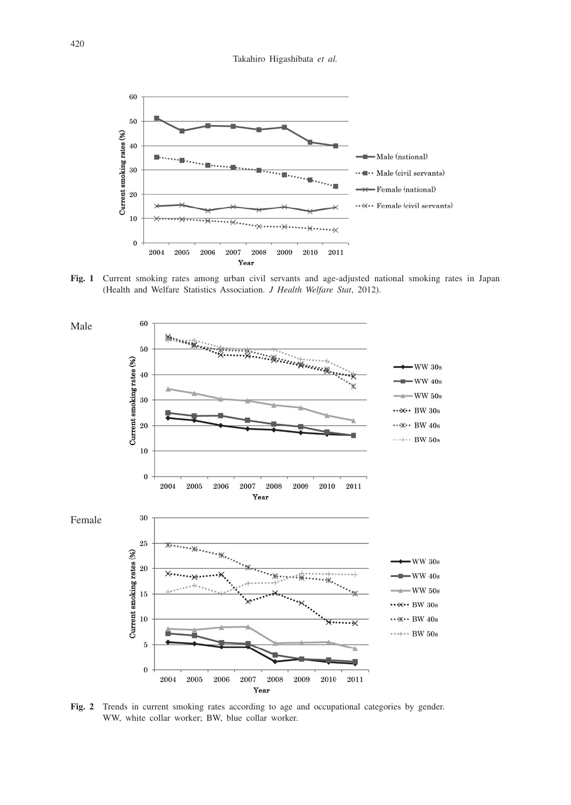

**Fig. 1** Current smoking rates among urban civil servants and age-adjusted national smoking rates in Japan (Health and Welfare Statistics Association. *J Health Welfare Stat*, 2012).



**Fig. 2** Trends in current smoking rates according to age and occupational categories by gender. WW, white collar worker; BW, blue collar worker.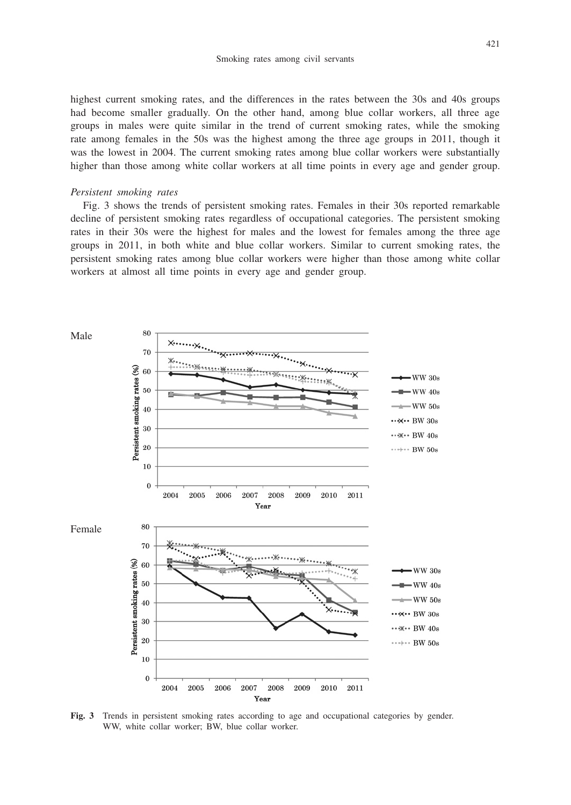highest current smoking rates, and the differences in the rates between the 30s and 40s groups had become smaller gradually. On the other hand, among blue collar workers, all three age groups in males were quite similar in the trend of current smoking rates, while the smoking rate among females in the 50s was the highest among the three age groups in 2011, though it was the lowest in 2004. The current smoking rates among blue collar workers were substantially higher than those among white collar workers at all time points in every age and gender group.

#### *Persistent smoking rates*

Fig. 3 shows the trends of persistent smoking rates. Females in their 30s reported remarkable decline of persistent smoking rates regardless of occupational categories. The persistent smoking rates in their 30s were the highest for males and the lowest for females among the three age groups in 2011, in both white and blue collar workers. Similar to current smoking rates, the persistent smoking rates among blue collar workers were higher than those among white collar workers at almost all time points in every age and gender group.



**Fig. 3** Trends in persistent smoking rates according to age and occupational categories by gender. WW, white collar worker; BW, blue collar worker.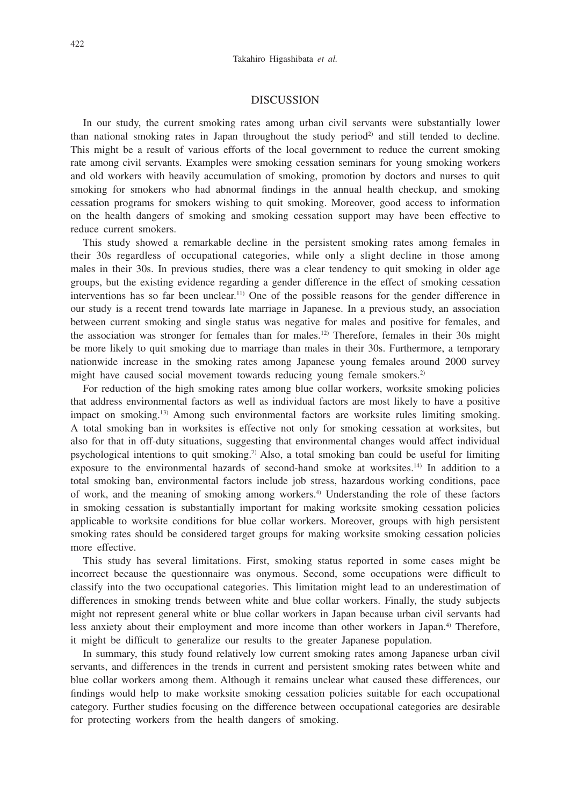#### DISCUSSION

In our study, the current smoking rates among urban civil servants were substantially lower than national smoking rates in Japan throughout the study period<sup>2)</sup> and still tended to decline. This might be a result of various efforts of the local government to reduce the current smoking rate among civil servants. Examples were smoking cessation seminars for young smoking workers and old workers with heavily accumulation of smoking, promotion by doctors and nurses to quit smoking for smokers who had abnormal findings in the annual health checkup, and smoking cessation programs for smokers wishing to quit smoking. Moreover, good access to information on the health dangers of smoking and smoking cessation support may have been effective to reduce current smokers.

This study showed a remarkable decline in the persistent smoking rates among females in their 30s regardless of occupational categories, while only a slight decline in those among males in their 30s. In previous studies, there was a clear tendency to quit smoking in older age groups, but the existing evidence regarding a gender difference in the effect of smoking cessation interventions has so far been unclear.11) One of the possible reasons for the gender difference in our study is a recent trend towards late marriage in Japanese. In a previous study, an association between current smoking and single status was negative for males and positive for females, and the association was stronger for females than for males.12) Therefore, females in their 30s might be more likely to quit smoking due to marriage than males in their 30s. Furthermore, a temporary nationwide increase in the smoking rates among Japanese young females around 2000 survey might have caused social movement towards reducing young female smokers.<sup>2)</sup>

For reduction of the high smoking rates among blue collar workers, worksite smoking policies that address environmental factors as well as individual factors are most likely to have a positive impact on smoking.13) Among such environmental factors are worksite rules limiting smoking. A total smoking ban in worksites is effective not only for smoking cessation at worksites, but also for that in off-duty situations, suggesting that environmental changes would affect individual psychological intentions to quit smoking.<sup>7)</sup> Also, a total smoking ban could be useful for limiting exposure to the environmental hazards of second-hand smoke at worksites.<sup>14)</sup> In addition to a total smoking ban, environmental factors include job stress, hazardous working conditions, pace of work, and the meaning of smoking among workers.4) Understanding the role of these factors in smoking cessation is substantially important for making worksite smoking cessation policies applicable to worksite conditions for blue collar workers. Moreover, groups with high persistent smoking rates should be considered target groups for making worksite smoking cessation policies more effective.

This study has several limitations. First, smoking status reported in some cases might be incorrect because the questionnaire was onymous. Second, some occupations were difficult to classify into the two occupational categories. This limitation might lead to an underestimation of differences in smoking trends between white and blue collar workers. Finally, the study subjects might not represent general white or blue collar workers in Japan because urban civil servants had less anxiety about their employment and more income than other workers in Japan.<sup>4)</sup> Therefore, it might be difficult to generalize our results to the greater Japanese population.

In summary, this study found relatively low current smoking rates among Japanese urban civil servants, and differences in the trends in current and persistent smoking rates between white and blue collar workers among them. Although it remains unclear what caused these differences, our findings would help to make worksite smoking cessation policies suitable for each occupational category. Further studies focusing on the difference between occupational categories are desirable for protecting workers from the health dangers of smoking.